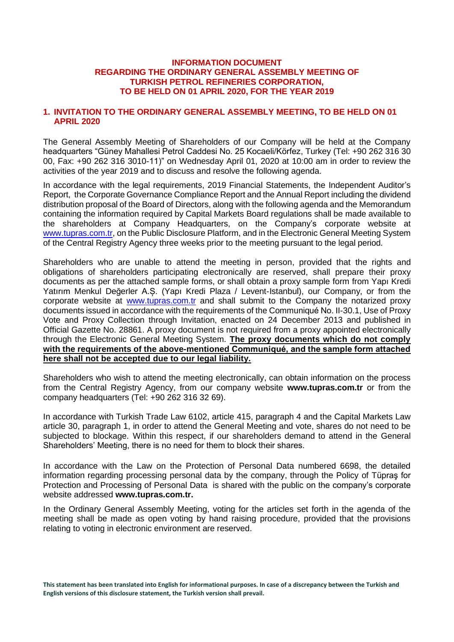### **INFORMATION DOCUMENT REGARDING THE ORDINARY GENERAL ASSEMBLY MEETING OF TURKISH PETROL REFINERIES CORPORATION, TO BE HELD ON 01 APRIL 2020, FOR THE YEAR 2019**

## **1. INVITATION TO THE ORDINARY GENERAL ASSEMBLY MEETING, TO BE HELD ON 01 APRIL 2020**

The General Assembly Meeting of Shareholders of our Company will be held at the Company headquarters "Güney Mahallesi Petrol Caddesi No. 25 Kocaeli/Körfez, Turkey (Tel: +90 262 316 30 00, Fax: +90 262 316 3010-11)" on Wednesday April 01, 2020 at 10:00 am in order to review the activities of the year 2019 and to discuss and resolve the following agenda.

In accordance with the legal requirements, 2019 Financial Statements, the Independent Auditor's Report, the Corporate Governance Compliance Report and the Annual Report including the dividend distribution proposal of the Board of Directors, along with the following agenda and the Memorandum containing the information required by Capital Markets Board regulations shall be made available to the shareholders at Company Headquarters, on the Company's corporate website at [www.tupras.com.tr,](http://www.tupras.com.tr/) on the Public Disclosure Platform, and in the Electronic General Meeting System of the Central Registry Agency three weeks prior to the meeting pursuant to the legal period.

Shareholders who are unable to attend the meeting in person, provided that the rights and obligations of shareholders participating electronically are reserved, shall prepare their proxy documents as per the attached sample forms, or shall obtain a proxy sample form from Yapı Kredi Yatırım Menkul Değerler A.Ș. (Yapı Kredi Plaza / Levent-Istanbul), our Company, or from the corporate website at [www.tupras.com.tr](http://www.koc.com.tr/) and shall submit to the Company the notarized proxy documents issued in accordance with the requirements of the Communiqué No. II-30.1, Use of Proxy Vote and Proxy Collection through Invitation, enacted on 24 December 2013 and published in Official Gazette No. 28861. A proxy document is not required from a proxy appointed electronically through the Electronic General Meeting System. **The proxy documents which do not comply with the requirements of the above-mentioned Communiqué, and the sample form attached here shall not be accepted due to our legal liability.**

Shareholders who wish to attend the meeting electronically, can obtain information on the process from the Central Registry Agency, from our company website **www.tupras.com.tr** or from the company headquarters (Tel: +90 262 316 32 69).

In accordance with Turkish Trade Law 6102, article 415, paragraph 4 and the Capital Markets Law article 30, paragraph 1, in order to attend the General Meeting and vote, shares do not need to be subjected to blockage. Within this respect, if our shareholders demand to attend in the General Shareholders' Meeting, there is no need for them to block their shares.

In accordance with the Law on the Protection of Personal Data numbered 6698, the detailed information regarding processing personal data by the company, through the Policy of Tüpraş for Protection and Processing of Personal Data is shared with the public on the company's corporate website addressed **www.tupras.com.tr.**

In the Ordinary General Assembly Meeting, voting for the articles set forth in the agenda of the meeting shall be made as open voting by hand raising procedure, provided that the provisions relating to voting in electronic environment are reserved.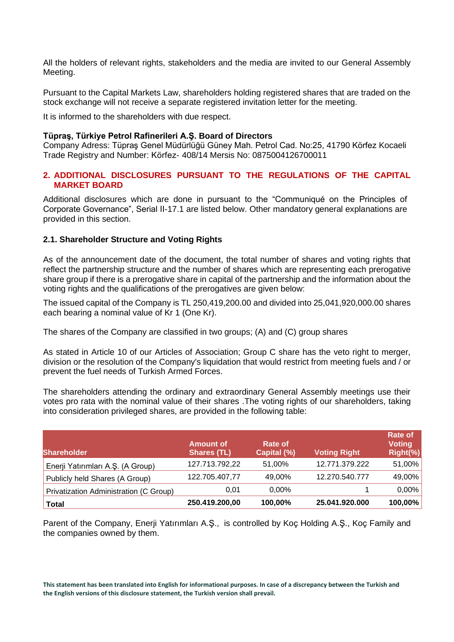All the holders of relevant rights, stakeholders and the media are invited to our General Assembly Meeting.

Pursuant to the Capital Markets Law, shareholders holding registered shares that are traded on the stock exchange will not receive a separate registered invitation letter for the meeting.

It is informed to the shareholders with due respect.

### **Tüpraş, Türkiye Petrol Rafinerileri A.Ş. Board of Directors**

Company Adress: Tüpraş Genel Müdürlüğü Güney Mah. Petrol Cad. No:25, 41790 Körfez Kocaeli Trade Registry and Number: Körfez- 408/14 Mersis No: 0875004126700011

## **2. ADDITIONAL DISCLOSURES PURSUANT TO THE REGULATIONS OF THE CAPITAL MARKET BOARD**

Additional disclosures which are done in pursuant to the "Communiqué on the Principles of Corporate Governance", Serial II-17.1 are listed below. Other mandatory general explanations are provided in this section.

## **2.1. Shareholder Structure and Voting Rights**

As of the announcement date of the document, the total number of shares and voting rights that reflect the partnership structure and the number of shares which are representing each prerogative share group if there is a prerogative share in capital of the partnership and the information about the voting rights and the qualifications of the prerogatives are given below:

The issued capital of the Company is TL 250,419,200.00 and divided into 25,041,920,000.00 shares each bearing a nominal value of Kr 1 (One Kr).

The shares of the Company are classified in two groups; (A) and (C) group shares

As stated in Article 10 of our Articles of Association; Group C share has the veto right to merger, division or the resolution of the Company's liquidation that would restrict from meeting fuels and / or prevent the fuel needs of Turkish Armed Forces.

The shareholders attending the ordinary and extraordinary General Assembly meetings use their votes pro rata with the nominal value of their shares .The voting rights of our shareholders, taking into consideration privileged shares, are provided in the following table:

| <b>Shareholder</b>                     | <b>Amount of</b><br><b>Shares (TL)</b> | Rate of<br>Capital (%) | <b>Voting Right</b> | Rate of<br><b>Voting</b><br>Right(%) |
|----------------------------------------|----------------------------------------|------------------------|---------------------|--------------------------------------|
| Enerji Yatırımları A.Ş. (A Group)      | 127.713.792,22                         | 51,00%                 | 12.771.379.222      | 51,00%                               |
| Publicly held Shares (A Group)         | 122.705.407,77                         | 49.00%                 | 12.270.540.777      | 49,00%                               |
| Privatization Administration (C Group) | 0.01                                   | $0.00\%$               |                     | $0,00\%$                             |
| Total                                  | 250.419.200,00                         | 100,00%                | 25.041.920.000      | 100,00%                              |

Parent of the Company, Enerji Yatırımları A.Ş., is controlled by Koç Holding A.Ş., Koç Family and the companies owned by them.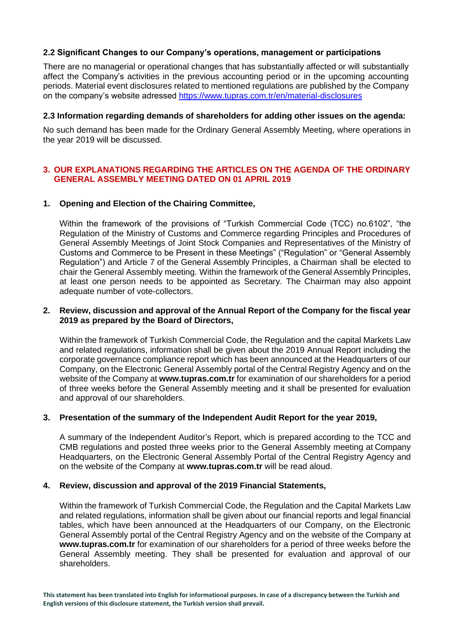## **2.2 Significant Changes to our Company's operations, management or participations**

There are no managerial or operational changes that has substantially affected or will substantially affect the Company's activities in the previous accounting period or in the upcoming accounting periods. Material event disclosures related to mentioned regulations are published by the Company on the company's website adressed<https://www.tupras.com.tr/en/material-disclosures>

### **2.3 Information regarding demands of shareholders for adding other issues on the agenda:**

No such demand has been made for the Ordinary General Assembly Meeting, where operations in the year 2019 will be discussed.

## **3. OUR EXPLANATIONS REGARDING THE ARTICLES ON THE AGENDA OF THE ORDINARY GENERAL ASSEMBLY MEETING DATED ON 01 APRIL 2019**

## **1. Opening and Election of the Chairing Committee,**

Within the framework of the provisions of "Turkish Commercial Code (TCC) no.6102", "the Regulation of the Ministry of Customs and Commerce regarding Principles and Procedures of General Assembly Meetings of Joint Stock Companies and Representatives of the Ministry of Customs and Commerce to be Present in these Meetings" ("Regulation" or "General Assembly Regulation") and Article 7 of the General Assembly Principles, a Chairman shall be elected to chair the General Assembly meeting. Within the framework of the General Assembly Principles, at least one person needs to be appointed as Secretary. The Chairman may also appoint adequate number of vote-collectors.

### **2. Review, discussion and approval of the Annual Report of the Company for the fiscal year 2019 as prepared by the Board of Directors,**

Within the framework of Turkish Commercial Code, the Regulation and the capital Markets Law and related regulations, information shall be given about the 2019 Annual Report including the corporate governance compliance report which has been announced at the Headquarters of our Company, on the Electronic General Assembly portal of the Central Registry Agency and on the website of the Company at **[www.tupras.com.tr](http://www.tupras.com.tr/)** for examination of our shareholders for a period of three weeks before the General Assembly meeting and it shall be presented for evaluation and approval of our shareholders.

## **3. Presentation of the summary of the Independent Audit Report for the year 2019,**

A summary of the Independent Auditor's Report, which is prepared according to the TCC and CMB regulations and posted three weeks prior to the General Assembly meeting at Company Headquarters, on the Electronic General Assembly Portal of the Central Registry Agency and on the website of the Company at **[www.tupras.com.tr](http://www.tupras.com.tr/)** will be read aloud.

#### **4. Review, discussion and approval of the 2019 Financial Statements,**

Within the framework of Turkish Commercial Code, the Regulation and the Capital Markets Law and related regulations, information shall be given about our financial reports and legal financial tables, which have been announced at the Headquarters of our Company, on the Electronic General Assembly portal of the Central Registry Agency and on the website of the Company at **[www.tupras.com.tr](http://www.tupras.com.tr/)** for examination of our shareholders for a period of three weeks before the General Assembly meeting. They shall be presented for evaluation and approval of our shareholders.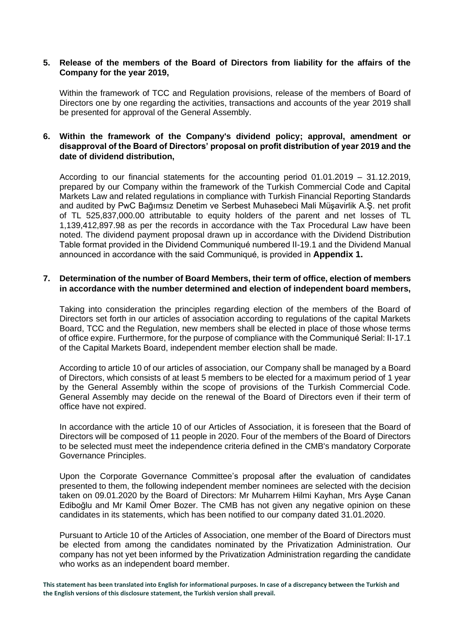### **5. Release of the members of the Board of Directors from liability for the affairs of the Company for the year 2019,**

Within the framework of TCC and Regulation provisions, release of the members of Board of Directors one by one regarding the activities, transactions and accounts of the year 2019 shall be presented for approval of the General Assembly.

## **6. Within the framework of the Company's dividend policy; approval, amendment or disapproval of the Board of Directors' proposal on profit distribution of year 2019 and the date of dividend distribution,**

According to our financial statements for the accounting period 01.01.2019 – 31.12.2019, prepared by our Company within the framework of the Turkish Commercial Code and Capital Markets Law and related regulations in compliance with Turkish Financial Reporting Standards and audited by PwC Bağımsız Denetim ve Serbest Muhasebeci Mali Müşavirlik A.Ş. net profit of TL 525,837,000.00 attributable to equity holders of the parent and net losses of TL 1,139,412,897.98 as per the records in accordance with the Tax Procedural Law have been noted. The dividend payment proposal drawn up in accordance with the Dividend Distribution Table format provided in the Dividend Communiqué numbered II-19.1 and the Dividend Manual announced in accordance with the said Communiqué, is provided in **Appendix 1.**

## **7. Determination of the number of Board Members, their term of office, election of members in accordance with the number determined and election of independent board members,**

Taking into consideration the principles regarding election of the members of the Board of Directors set forth in our articles of association according to regulations of the capital Markets Board, TCC and the Regulation, new members shall be elected in place of those whose terms of office expire. Furthermore, for the purpose of compliance with the Communiqué Serial: II-17.1 of the Capital Markets Board, independent member election shall be made.

According to article 10 of our articles of association, our Company shall be managed by a Board of Directors, which consists of at least 5 members to be elected for a maximum period of 1 year by the General Assembly within the scope of provisions of the Turkish Commercial Code. General Assembly may decide on the renewal of the Board of Directors even if their term of office have not expired.

In accordance with the article 10 of our Articles of Association, it is foreseen that the Board of Directors will be composed of 11 people in 2020. Four of the members of the Board of Directors to be selected must meet the independence criteria defined in the CMB's mandatory Corporate Governance Principles.

Upon the Corporate Governance Committee's proposal after the evaluation of candidates presented to them, the following independent member nominees are selected with the decision taken on 09.01.2020 by the Board of Directors: Mr Muharrem Hilmi Kayhan, Mrs Ayşe Canan Ediboğlu and Mr Kamil Ömer Bozer. The CMB has not given any negative opinion on these candidates in its statements, which has been notified to our company dated 31.01.2020.

Pursuant to Article 10 of the Articles of Association, one member of the Board of Directors must be elected from among the candidates nominated by the Privatization Administration. Our company has not yet been informed by the Privatization Administration regarding the candidate who works as an independent board member.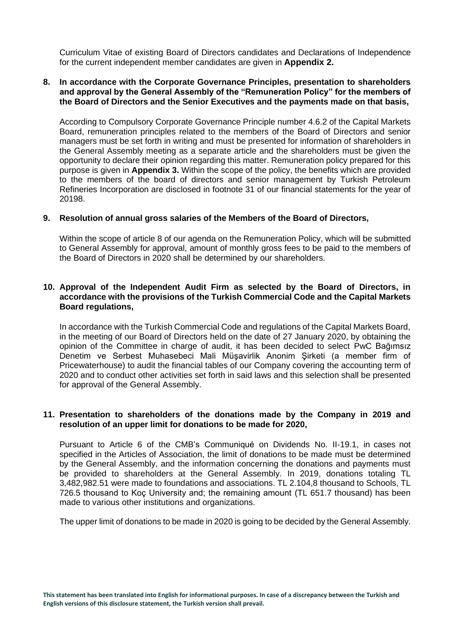Curriculum Vitae of existing Board of Directors candidates and Declarations of Independence for the current independent member candidates are given in **Appendix 2.**

### **8. In accordance with the Corporate Governance Principles, presentation to shareholders and approval by the General Assembly of the "Remuneration Policy" for the members of the Board of Directors and the Senior Executives and the payments made on that basis,**

According to Compulsory Corporate Governance Principle number 4.6.2 of the Capital Markets Board, remuneration principles related to the members of the Board of Directors and senior managers must be set forth in writing and must be presented for information of shareholders in the General Assembly meeting as a separate article and the shareholders must be given the opportunity to declare their opinion regarding this matter. Remuneration policy prepared for this purpose is given in **Appendix 3.** Within the scope of the policy, the benefits which are provided to the members of the board of directors and senior management by Turkish Petroleum Refineries Incorporation are disclosed in footnote 31 of our financial statements for the year of 20198.

### **9. Resolution of annual gross salaries of the Members of the Board of Directors,**

Within the scope of article 8 of our agenda on the Remuneration Policy, which will be submitted to General Assembly for approval, amount of monthly gross fees to be paid to the members of the Board of Directors in 2020 shall be determined by our shareholders.

## **10. Approval of the Independent Audit Firm as selected by the Board of Directors, in accordance with the provisions of the Turkish Commercial Code and the Capital Markets Board regulations,**

In accordance with the Turkish Commercial Code and regulations of the Capital Markets Board, in the meeting of our Board of Directors held on the date of 27 January 2020, by obtaining the opinion of the Committee in charge of audit, it has been decided to select PwC Bağımsız Denetim ve Serbest Muhasebeci Mali Müşavirlik Anonim Şirketi (a member firm of Pricewaterhouse) to audit the financial tables of our Company covering the accounting term of 2020 and to conduct other activities set forth in said laws and this selection shall be presented for approval of the General Assembly.

#### **11. Presentation to shareholders of the donations made by the Company in 2019 and resolution of an upper limit for donations to be made for 2020,**

Pursuant to Article 6 of the CMB's Communiqué on Dividends No. II-19.1, in cases not specified in the Articles of Association, the limit of donations to be made must be determined by the General Assembly, and the information concerning the donations and payments must be provided to shareholders at the General Assembly. In 2019, donations totaling TL 3,482,982.51 were made to foundations and associations. TL 2.104,8 thousand to Schools, TL 726.5 thousand to Koç University and; the remaining amount (TL 651.7 thousand) has been made to various other institutions and organizations.

The upper limit of donations to be made in 2020 is going to be decided by the General Assembly.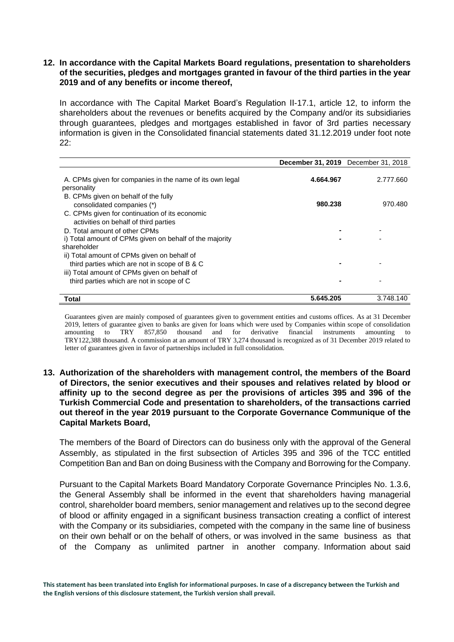## **12. In accordance with the Capital Markets Board regulations, presentation to shareholders of the securities, pledges and mortgages granted in favour of the third parties in the year 2019 and of any benefits or income thereof,**

In accordance with The Capital Market Board's Regulation II-17.1, article 12, to inform the shareholders about the revenues or benefits acquired by the Company and/or its subsidiaries through guarantees, pledges and mortgages established in favor of 3rd parties necessary information is given in the Consolidated financial statements dated 31.12.2019 under foot note 22:

|                                                                                         |           | <b>December 31, 2019</b> December 31, 2018 |
|-----------------------------------------------------------------------------------------|-----------|--------------------------------------------|
| A. CPMs given for companies in the name of its own legal<br>personality                 | 4.664.967 | 2.777.660                                  |
| B. CPMs given on behalf of the fully<br>consolidated companies (*)                      | 980.238   | 970.480                                    |
| C. CPMs given for continuation of its economic<br>activities on behalf of third parties |           |                                            |
| D. Total amount of other CPMs                                                           |           |                                            |
| i) Total amount of CPMs given on behalf of the majority                                 |           |                                            |
| shareholder                                                                             |           |                                            |
| ii) Total amount of CPMs given on behalf of                                             |           |                                            |
| third parties which are not in scope of B & C                                           |           |                                            |
| iii) Total amount of CPMs given on behalf of                                            |           |                                            |
| third parties which are not in scope of C                                               |           |                                            |
| Total                                                                                   | 5.645.205 | 3.748.140                                  |

Guarantees given are mainly composed of guarantees given to government entities and customs offices. As at 31 December 2019, letters of guarantee given to banks are given for loans which were used by Companies within scope of consolidation amounting to TRY 857.850 thousand and for derivative financial instruments amounting to amounting to TRY 857,850 thousand and for derivative financial instruments amounting to TRY122,388 thousand. A commission at an amount of TRY 3,274 thousand is recognized as of 31 December 2019 related to letter of guarantees given in favor of partnerships included in full consolidation.

**13. Authorization of the shareholders with management control, the members of the Board of Directors, the senior executives and their spouses and relatives related by blood or affinity up to the second degree as per the provisions of articles 395 and 396 of the Turkish Commercial Code and presentation to shareholders, of the transactions carried out thereof in the year 2019 pursuant to the Corporate Governance Communique of the Capital Markets Board,**

The members of the Board of Directors can do business only with the approval of the General Assembly, as stipulated in the first subsection of Articles 395 and 396 of the TCC entitled Competition Ban and Ban on doing Business with the Company and Borrowing for the Company.

Pursuant to the Capital Markets Board Mandatory Corporate Governance Principles No. 1.3.6, the General Assembly shall be informed in the event that shareholders having managerial control, shareholder board members, senior management and relatives up to the second degree of blood or affinity engaged in a significant business transaction creating a conflict of interest with the Company or its subsidiaries, competed with the company in the same line of business on their own behalf or on the behalf of others, or was involved in the same business as that of the Company as unlimited partner in another company. Information about said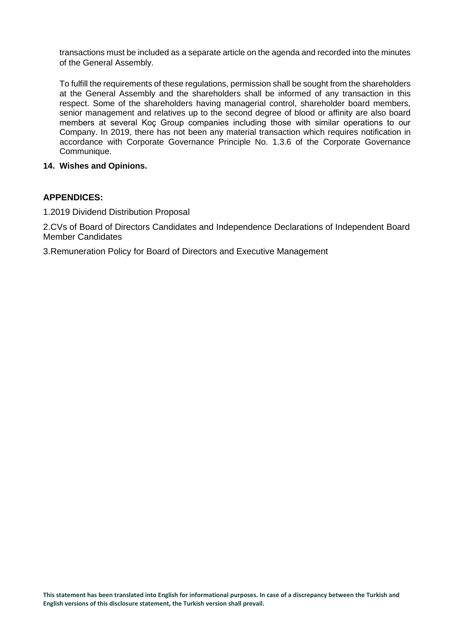transactions must be included as a separate article on the agenda and recorded into the minutes of the General Assembly.

To fulfill the requirements of these regulations, permission shall be sought from the shareholders at the General Assembly and the shareholders shall be informed of any transaction in this respect. Some of the shareholders having managerial control, shareholder board members, senior management and relatives up to the second degree of blood or affinity are also board members at several Koç Group companies including those with similar operations to our Company. In 2019, there has not been any material transaction which requires notification in accordance with Corporate Governance Principle No. 1.3.6 of the Corporate Governance Communique.

## **14. Wishes and Opinions.**

## **APPENDICES:**

1.2019 Dividend Distribution Proposal

2.CVs of Board of Directors Candidates and Independence Declarations of Independent Board Member Candidates

3.Remuneration Policy for Board of Directors and Executive Management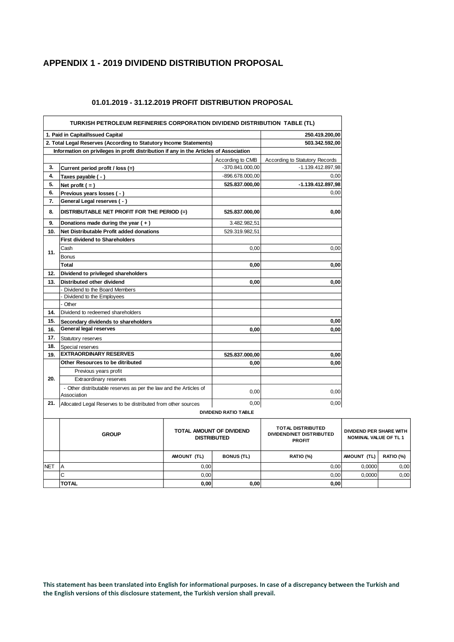## **APPENDIX 1 - 2019 DIVIDEND DISTRIBUTION PROPOSAL**

|     | 1. Paid in Capital/Issued Capital                                                      |                                 |                             | 250.419.200,00                                              |  |
|-----|----------------------------------------------------------------------------------------|---------------------------------|-----------------------------|-------------------------------------------------------------|--|
|     | 2. Total Legal Reserves (According to Statutory Income Statements)                     |                                 |                             | 503.342.592,00                                              |  |
|     | Information on privileges in profit distribution if any in the Articles of Association |                                 |                             |                                                             |  |
|     |                                                                                        |                                 | According to CMB            | According to Statutory Records                              |  |
| 3.  | Current period profit / loss (=)                                                       |                                 | -370.841.000,00             | -1.139.412.897,98                                           |  |
| 4.  | Taxes payable ( - )                                                                    |                                 | -896.678.000,00             | 0,00                                                        |  |
| 5.  | Net profit $( = )$                                                                     |                                 | 525.837.000,00              | -1.139.412.897,98                                           |  |
| 6.  | Previous years losses ( - )                                                            |                                 |                             | 0,00                                                        |  |
| 7.  | General Legal reserves ( - )                                                           |                                 |                             |                                                             |  |
| 8.  | DISTRIBUTABLE NET PROFIT FOR THE PERIOD (=)                                            |                                 | 525.837.000,00              | 0,00                                                        |  |
| 9.  | Donations made during the year $(+)$                                                   |                                 | 3.482.982,51                |                                                             |  |
| 10. | Net Distributable Profit added donations                                               |                                 | 529.319.982,51              |                                                             |  |
|     | <b>First dividend to Shareholders</b>                                                  |                                 |                             |                                                             |  |
|     | Cash                                                                                   |                                 | 0,00                        | 0,00                                                        |  |
| 11. | <b>Bonus</b>                                                                           |                                 |                             |                                                             |  |
|     | Total                                                                                  |                                 | 0,00                        | 0,00                                                        |  |
| 12. | Dividend to privileged shareholders                                                    |                                 |                             |                                                             |  |
| 13. | Distributed other dividend                                                             |                                 | 0,00                        | 0,00                                                        |  |
|     | - Dividend to the Board Members                                                        |                                 |                             |                                                             |  |
|     | - Dividend to the Employees                                                            |                                 |                             |                                                             |  |
|     | - Other                                                                                |                                 |                             |                                                             |  |
| 14. | Dividend to redeemed shareholders                                                      |                                 |                             |                                                             |  |
| 15. | Secondary dividends to shareholders                                                    |                                 |                             | 0,00                                                        |  |
| 16. | General legal reserves                                                                 |                                 | 0,00                        | 0,00                                                        |  |
| 17. | <b>Statutory reserves</b>                                                              |                                 |                             |                                                             |  |
| 18. | Special reserves                                                                       |                                 |                             |                                                             |  |
| 19. | <b>EXTRAORDINARY RESERVES</b>                                                          |                                 | 525.837.000,00              | 0,00                                                        |  |
|     | Other Resources to be ditributed                                                       |                                 | 0,00                        | 0,00                                                        |  |
|     | Previous years profit<br>Extraordinary reserves                                        |                                 |                             |                                                             |  |
| 20. |                                                                                        |                                 |                             |                                                             |  |
|     | - Other distributable reserves as per the law and the Articles of<br>Association       |                                 | 0,00                        | 0,00                                                        |  |
| 21. | Allocated Legal Reserves to be distributed from other sources                          |                                 | 0,00                        | 0,00                                                        |  |
|     |                                                                                        |                                 | <b>DIVIDEND RATIO TABLE</b> |                                                             |  |
|     | <b>CDOUD</b>                                                                           | <b>TOTAL AMOUNT OF DIVIDEND</b> |                             | <b>TOTAL DISTRIBUTED</b><br><b>DIVIDEND/NET DISTRIBUTED</b> |  |

#### **01.01.2019 - 31.12.2019 PROFIT DISTRIBUTION PROPOSAL**

|            | <b>GROUP</b> | <b>TOTAL AMOUNT OF DIVIDEND</b><br><b>DISTRIBUTED</b> |                   | <b>TOTAL DISTRIBUTED</b><br>DIVIDEND/NET DISTRIBUTED<br><b>PROFIT</b> | <b>DIVIDEND PER SHARE WITH</b><br><b>NOMINAL VALUE OF TL1</b> |                  |
|------------|--------------|-------------------------------------------------------|-------------------|-----------------------------------------------------------------------|---------------------------------------------------------------|------------------|
|            |              | AMOUNT (TL)                                           | <b>BONUS (TL)</b> | <b>RATIO (%)</b>                                                      | AMOUNT (TL)                                                   | <b>RATIO (%)</b> |
| <b>NET</b> | ΙA           | 0,00                                                  |                   | 0,00                                                                  | 0,0000                                                        | 0,00             |
|            | IС           | 0.00                                                  |                   | 0,00                                                                  | 0.0000                                                        | 0,00             |
|            | <b>TOTAL</b> | 0,00                                                  | 0,00              | 0,00                                                                  |                                                               |                  |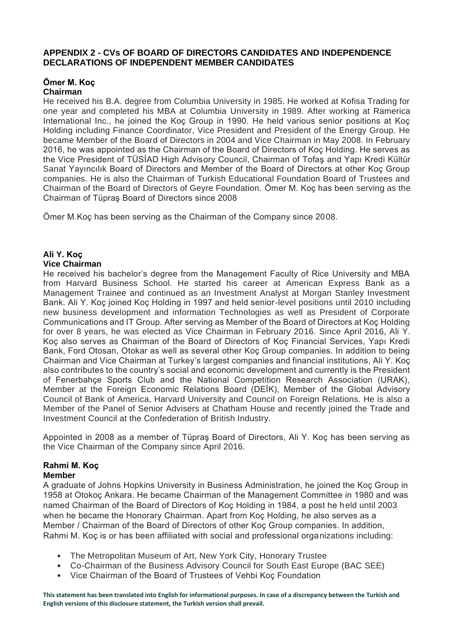## **APPENDIX 2 - CVs OF BOARD OF DIRECTORS CANDIDATES AND INDEPENDENCE DECLARATIONS OF INDEPENDENT MEMBER CANDIDATES**

#### **Ömer M. Koç Chairman**

He received his B.A. degree from Columbia University in 1985. He worked at Kofisa Trading for one year and completed his MBA at Columbia University in 1989. After working at Ramerica International Inc., he joined the Koç Group in 1990. He held various senior positions at Koç Holding including Finance Coordinator, Vice President and President of the Energy Group. He became Member of the Board of Directors in 2004 and Vice Chairman in May 2008. In February 2016, he was appointed as the Chairman of the Board of Directors of Koç Holding. He serves as the Vice President of TÜSİAD High Advisory Council, Chairman of Tofaş and Yapı Kredi Kültür Sanat Yayıncılık Board of Directors and Member of the Board of Directors at other Koç Group companies. He is also the Chairman of Turkish Educational Foundation Board of Trustees and Chairman of the Board of Directors of Geyre Foundation. Ömer M. Koç has been serving as the Chairman of Tüpraş Board of Directors since 2008

Ömer M.Koç has been serving as the Chairman of the Company since 2008.

### **Ali Y. Koç Vice Chairman**

He received his bachelor's degree from the Management Faculty of Rice University and MBA from Harvard Business School. He started his career at American Express Bank as a Management Trainee and continued as an Investment Analyst at Morgan Stanley Investment Bank. Ali Y. Koç joined Koç Holding in 1997 and held senior-level positions until 2010 including new business development and information Technologies as well as President of Corporate Communications and IT Group. After serving as Member of the Board of Directors at Koç Holding for over 8 years, he was elected as Vice Chairman in February 2016. Since April 2016, Ali Y. Koç also serves as Chairman of the Board of Directors of Koç Financial Services, Yapı Kredi Bank, Ford Otosan, Otokar as well as several other Koç Group companies. In addition to being Chairman and Vice Chairman at Turkey's largest companies and financial institutions, Ali Y. Koç also contributes to the country's social and economic development and currently is the President of Fenerbahçe Sports Club and the National Competition Research Association (URAK), Member at the Foreign Economic Relations Board (DEİK), Member of the Global Advisory Council of Bank of America, Harvard University and Council on Foreign Relations. He is also a Member of the Panel of Senior Advisers at Chatham House and recently joined the Trade and Investment Council at the Confederation of British Industry.

Appointed in 2008 as a member of Tüpraş Board of Directors, Ali Y. Koç has been serving as the Vice Chairman of the Company since April 2016.

## **Rahmi M. Koç Member**

A graduate of Johns Hopkins University in Business Administration, he joined the Koç Group in 1958 at Otokoç Ankara. He became Chairman of the Management Committee in 1980 and was named Chairman of the Board of Directors of Koç Holding in 1984, a post he held until 2003 when he became the Honorary Chairman. Apart from Koç Holding, he also serves as a Member / Chairman of the Board of Directors of other Koç Group companies. In addition, Rahmi M. Koç is or has been affiliated with social and professional organizations including:

- The Metropolitan Museum of Art, New York City, Honorary Trustee
- Co-Chairman of the Business Advisory Council for South East Europe (BAC SEE)
- Vice Chairman of the Board of Trustees of Vehbi Koç Foundation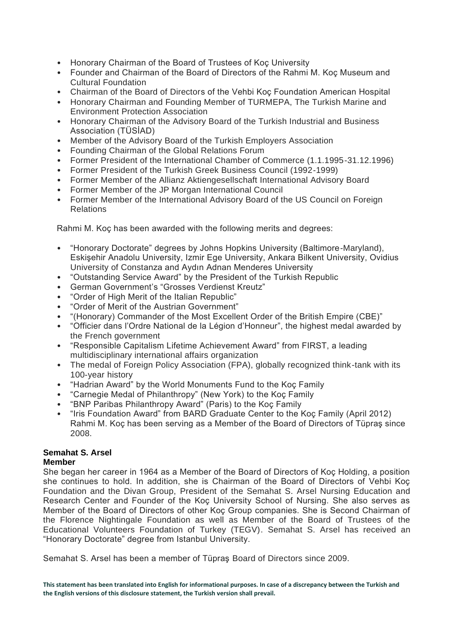- Honorary Chairman of the Board of Trustees of Koç University
- Founder and Chairman of the Board of Directors of the Rahmi M. Koç Museum and Cultural Foundation
- Chairman of the Board of Directors of the Vehbi Koç Foundation American Hospital
- Honorary Chairman and Founding Member of TURMEPA, The Turkish Marine and Environment Protection Association
- Honorary Chairman of the Advisory Board of the Turkish Industrial and Business Association (TÜSİAD)
- Member of the Advisory Board of the Turkish Employers Association
- Founding Chairman of the Global Relations Forum
- Former President of the International Chamber of Commerce (1.1.1995-31.12.1996)
- Former President of the Turkish Greek Business Council (1992-1999)
- Former Member of the Allianz Aktiengesellschaft International Advisory Board
- Former Member of the JP Morgan International Council
- Former Member of the International Advisory Board of the US Council on Foreign Relations

Rahmi M. Koç has been awarded with the following merits and degrees:

- "Honorary Doctorate" degrees by Johns Hopkins University (Baltimore-Maryland), Eskişehir Anadolu University, Izmir Ege University, Ankara Bilkent University, Ovidius University of Constanza and Aydın Adnan Menderes University
- "Outstanding Service Award" by the President of the Turkish Republic
- German Government's "Grosses Verdienst Kreutz"
- "Order of High Merit of the Italian Republic"
- "Order of Merit of the Austrian Government"
- "(Honorary) Commander of the Most Excellent Order of the British Empire (CBE)"
- "Officier dans l'Ordre National de la Légion d'Honneur", the highest medal awarded by the French government
- "Responsible Capitalism Lifetime Achievement Award" from FIRST, a leading multidisciplinary international affairs organization
- The medal of Foreign Policy Association (FPA), globally recognized think-tank with its 100-year history
- "Hadrian Award" by the World Monuments Fund to the Koç Family
- "Carnegie Medal of Philanthropy" (New York) to the Koç Family
- "BNP Paribas Philanthropy Award" (Paris) to the Koç Family
- "Iris Foundation Award" from BARD Graduate Center to the Koç Family (April 2012) Rahmi M. Koç has been serving as a Member of the Board of Directors of Tüpraş since 2008.

#### **Semahat S. Arsel Member**

She began her career in 1964 as a Member of the Board of Directors of Koç Holding, a position she continues to hold. In addition, she is Chairman of the Board of Directors of Vehbi Koç Foundation and the Divan Group, President of the Semahat S. Arsel Nursing Education and Research Center and Founder of the Koç University School of Nursing. She also serves as Member of the Board of Directors of other Koç Group companies. She is Second Chairman of the Florence Nightingale Foundation as well as Member of the Board of Trustees of the Educational Volunteers Foundation of Turkey (TEGV). Semahat S. Arsel has received an "Honorary Doctorate" degree from Istanbul University.

Semahat S. Arsel has been a member of Tüpraş Board of Directors since 2009.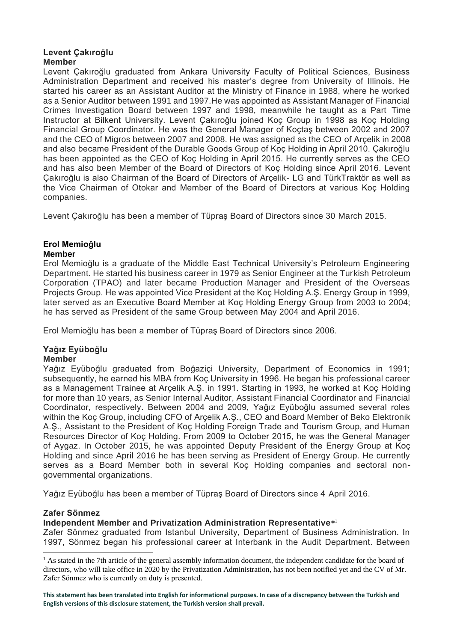## **Levent Çakıroğlu Member**

Levent Çakıroğlu graduated from Ankara University Faculty of Political Sciences, Business Administration Department and received his master's degree from University of Illinois. He started his career as an Assistant Auditor at the Ministry of Finance in 1988, where he worked as a Senior Auditor between 1991 and 1997.He was appointed as Assistant Manager of Financial Crimes Investigation Board between 1997 and 1998, meanwhile he taught as a Part Time Instructor at Bilkent University. Levent Çakıroğlu joined Koç Group in 1998 as Koç Holding Financial Group Coordinator. He was the General Manager of Koçtaş between 2002 and 2007 and the CEO of Migros between 2007 and 2008. He was assigned as the CEO of Arçelik in 2008 and also became President of the Durable Goods Group of Koç Holding in April 2010. Çakıroğlu has been appointed as the CEO of Koç Holding in April 2015. He currently serves as the CEO and has also been Member of the Board of Directors of Koç Holding since April 2016. Levent Çakıroğlu is also Chairman of the Board of Directors of Arçelik- LG and TürkTraktör as well as the Vice Chairman of Otokar and Member of the Board of Directors at various Koç Holding companies.

Levent Çakıroğlu has been a member of Tüpraş Board of Directors since 30 March 2015.

#### **Erol Memioğlu Member**

Erol Memioğlu is a graduate of the Middle East Technical University's Petroleum Engineering Department. He started his business career in 1979 as Senior Engineer at the Turkish Petroleum Corporation (TPAO) and later became Production Manager and President of the Overseas Projects Group. He was appointed Vice President at the Koç Holding A.Ş. Energy Group in 1999, later served as an Executive Board Member at Koç Holding Energy Group from 2003 to 2004; he has served as President of the same Group between May 2004 and April 2016.

Erol Memioğlu has been a member of Tüpraş Board of Directors since 2006.

### **Yağız Eyüboğlu Member**

Yağız Eyüboğlu graduated from Boğaziçi University, Department of Economics in 1991; subsequently, he earned his MBA from Koç University in 1996. He began his professional career as a Management Trainee at Arçelik A.Ş. in 1991. Starting in 1993, he worked at Koç Holding for more than 10 years, as Senior Internal Auditor, Assistant Financial Coordinator and Financial Coordinator, respectively. Between 2004 and 2009, Yağız Eyüboğlu assumed several roles within the Koç Group, including CFO of Arçelik A.Ş., CEO and Board Member of Beko Elektronik A.Ş., Assistant to the President of Koç Holding Foreign Trade and Tourism Group, and Human Resources Director of Koç Holding. From 2009 to October 2015, he was the General Manager of Aygaz. In October 2015, he was appointed Deputy President of the Energy Group at Koç Holding and since April 2016 he has been serving as President of Energy Group. He currently serves as a Board Member both in several Koç Holding companies and sectoral nongovernmental organizations.

Yağız Eyüboğlu has been a member of Tüpraş Board of Directors since 4 April 2016.

## **Zafer Sönmez**

## **Independent Member and Privatization Administration Representative\*** 1

Zafer Sönmez graduated from Istanbul University, Department of Business Administration. In 1997, Sönmez began his professional career at Interbank in the Audit Department. Between

 $<sup>1</sup>$  As stated in the 7th article of the general assembly information document, the independent candidate for the board of</sup> directors, who will take office in 2020 by the Privatization Administration, has not been notified yet and the CV of Mr. Zafer Sönmez who is currently on duty is presented.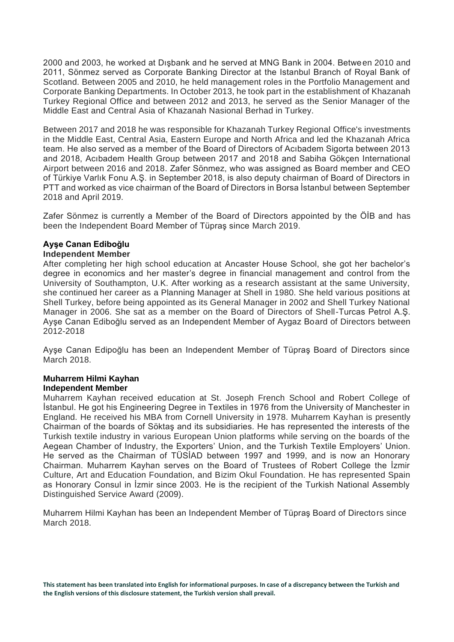2000 and 2003, he worked at Dışbank and he served at MNG Bank in 2004. Between 2010 and 2011, Sönmez served as Corporate Banking Director at the Istanbul Branch of Royal Bank of Scotland. Between 2005 and 2010, he held management roles in the Portfolio Management and Corporate Banking Departments. In October 2013, he took part in the establishment of Khazanah Turkey Regional Office and between 2012 and 2013, he served as the Senior Manager of the Middle East and Central Asia of Khazanah Nasional Berhad in Turkey.

Between 2017 and 2018 he was responsible for Khazanah Turkey Regional Office's investments in the Middle East, Central Asia, Eastern Europe and North Africa and led the Khazanah Africa team. He also served as a member of the Board of Directors of Acıbadem Sigorta between 2013 and 2018, Acıbadem Health Group between 2017 and 2018 and Sabiha Gökçen International Airport between 2016 and 2018. Zafer Sönmez, who was assigned as Board member and CEO of Türkiye Varlık Fonu A.Ş. in September 2018, is also deputy chairman of Board of Directors in PTT and worked as vice chairman of the Board of Directors in Borsa İstanbul between September 2018 and April 2019.

Zafer Sönmez is currently a Member of the Board of Directors appointed by the ÖİB and has been the Independent Board Member of Tüpraş since March 2019.

# **Ayşe Canan Ediboğlu**

### **Independent Member**

After completing her high school education at Ancaster House School, she got her bachelor's degree in economics and her master's degree in financial management and control from the University of Southampton, U.K. After working as a research assistant at the same University, she continued her career as a Planning Manager at Shell in 1980. She held various positions at Shell Turkey, before being appointed as its General Manager in 2002 and Shell Turkey National Manager in 2006. She sat as a member on the Board of Directors of Shell-Turcas Petrol A.Ş. Ayşe Canan Ediboğlu served as an Independent Member of Aygaz Board of Directors between 2012-2018

Ayşe Canan Edipoğlu has been an Independent Member of Tüpraş Board of Directors since March 2018.

### **Muharrem Hilmi Kayhan Independent Member**

Muharrem Kayhan received education at St. Joseph French School and Robert College of İstanbul. He got his Engineering Degree in Textiles in 1976 from the University of Manchester in England. He received his MBA from Cornell University in 1978. Muharrem Kayhan is presently Chairman of the boards of Söktaş and its subsidiaries. He has represented the interests of the Turkish textile industry in various European Union platforms while serving on the boards of the Aegean Chamber of Industry, the Exporters' Union, and the Turkish Textile Employers' Union. He served as the Chairman of TÜSİAD between 1997 and 1999, and is now an Honorary Chairman. Muharrem Kayhan serves on the Board of Trustees of Robert College the İzmir Culture, Art and Education Foundation, and Bizim Okul Foundation. He has represented Spain as Honorary Consul in İzmir since 2003. He is the recipient of the Turkish National Assembly Distinguished Service Award (2009).

Muharrem Hilmi Kayhan has been an Independent Member of Tüpraş Board of Directors since March 2018.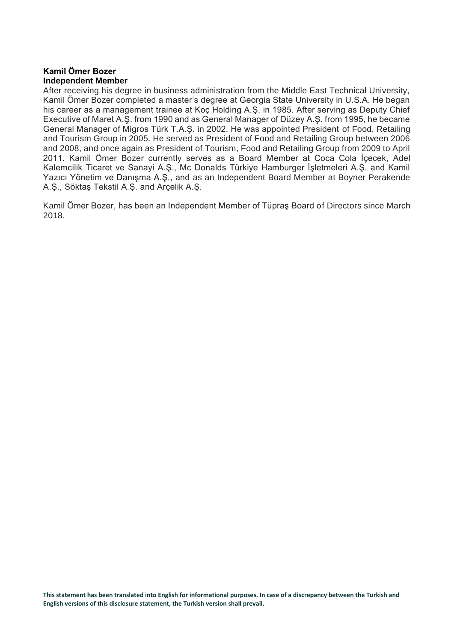## **Kamil Ömer Bozer Independent Member**

After receiving his degree in business administration from the Middle East Technical University, Kamil Ömer Bozer completed a master's degree at Georgia State University in U.S.A. He began his career as a management trainee at Koç Holding A.Ş. in 1985. After serving as Deputy Chief Executive of Maret A.Ş. from 1990 and as General Manager of Düzey A.Ş. from 1995, he became General Manager of Migros Türk T.A.Ş. in 2002. He was appointed President of Food, Retailing and Tourism Group in 2005. He served as President of Food and Retailing Group between 2006 and 2008, and once again as President of Tourism, Food and Retailing Group from 2009 to April 2011. Kamil Ömer Bozer currently serves as a Board Member at Coca Cola İçecek, Adel Kalemcilik Ticaret ve Sanayi A.Ş., Mc Donalds Türkiye Hamburger İşletmeleri A.Ş. and Kamil Yazıcı Yönetim ve Danışma A.Ş., and as an Independent Board Member at Boyner Perakende A.Ş., Söktaş Tekstil A.Ş. and Arçelik A.Ş.

Kamil Ömer Bozer, has been an Independent Member of Tüpraş Board of Directors since March 2018.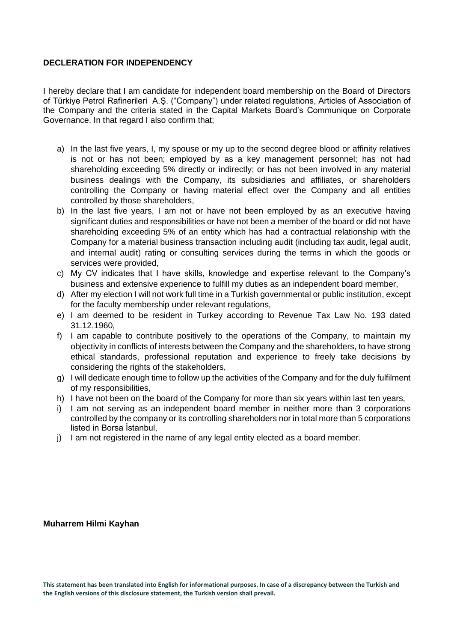## **DECLERATION FOR INDEPENDENCY**

I hereby declare that I am candidate for independent board membership on the Board of Directors of Türkiye Petrol Rafinerileri A.Ş. ("Company") under related regulations, Articles of Association of the Company and the criteria stated in the Capital Markets Board's Communique on Corporate Governance. In that regard I also confirm that;

- a) In the last five years, I, my spouse or my up to the second degree blood or affinity relatives is not or has not been; employed by as a key management personnel; has not had shareholding exceeding 5% directly or indirectly; or has not been involved in any material business dealings with the Company, its subsidiaries and affiliates, or shareholders controlling the Company or having material effect over the Company and all entities controlled by those shareholders,
- b) In the last five years, I am not or have not been employed by as an executive having significant duties and responsibilities or have not been a member of the board or did not have shareholding exceeding 5% of an entity which has had a contractual relationship with the Company for a material business transaction including audit (including tax audit, legal audit, and internal audit) rating or consulting services during the terms in which the goods or services were provided,
- c) My CV indicates that I have skills, knowledge and expertise relevant to the Company's business and extensive experience to fulfill my duties as an independent board member,
- d) After my election I will not work full time in a Turkish governmental or public institution, except for the faculty membership under relevant regulations,
- e) I am deemed to be resident in Turkey according to Revenue Tax Law No. 193 dated 31.12.1960,
- f) I am capable to contribute positively to the operations of the Company, to maintain my objectivity in conflicts of interests between the Company and the shareholders, to have strong ethical standards, professional reputation and experience to freely take decisions by considering the rights of the stakeholders,
- g) I will dedicate enough time to follow up the activities of the Company and for the duly fulfilment of my responsibilities,
- h) I have not been on the board of the Company for more than six years within last ten years,
- i) I am not serving as an independent board member in neither more than 3 corporations controlled by the company or its controlling shareholders nor in total more than 5 corporations listed in Borsa İstanbul,
- j) I am not registered in the name of any legal entity elected as a board member.

### **Muharrem Hilmi Kayhan**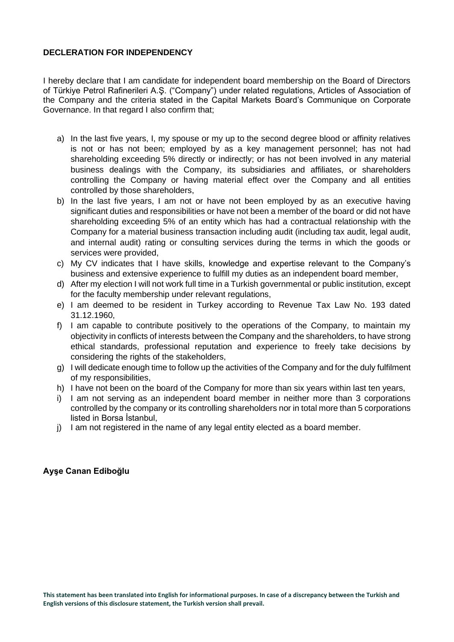## **DECLERATION FOR INDEPENDENCY**

I hereby declare that I am candidate for independent board membership on the Board of Directors of Türkiye Petrol Rafinerileri A.Ş. ("Company") under related regulations, Articles of Association of the Company and the criteria stated in the Capital Markets Board's Communique on Corporate Governance. In that regard I also confirm that;

- a) In the last five years, I, my spouse or my up to the second degree blood or affinity relatives is not or has not been; employed by as a key management personnel; has not had shareholding exceeding 5% directly or indirectly; or has not been involved in any material business dealings with the Company, its subsidiaries and affiliates, or shareholders controlling the Company or having material effect over the Company and all entities controlled by those shareholders,
- b) In the last five years, I am not or have not been employed by as an executive having significant duties and responsibilities or have not been a member of the board or did not have shareholding exceeding 5% of an entity which has had a contractual relationship with the Company for a material business transaction including audit (including tax audit, legal audit, and internal audit) rating or consulting services during the terms in which the goods or services were provided,
- c) My CV indicates that I have skills, knowledge and expertise relevant to the Company's business and extensive experience to fulfill my duties as an independent board member,
- d) After my election I will not work full time in a Turkish governmental or public institution, except for the faculty membership under relevant regulations,
- e) I am deemed to be resident in Turkey according to Revenue Tax Law No. 193 dated 31.12.1960,
- f) I am capable to contribute positively to the operations of the Company, to maintain my objectivity in conflicts of interests between the Company and the shareholders, to have strong ethical standards, professional reputation and experience to freely take decisions by considering the rights of the stakeholders,
- g) I will dedicate enough time to follow up the activities of the Company and for the duly fulfilment of my responsibilities,
- h) I have not been on the board of the Company for more than six years within last ten years,
- i) I am not serving as an independent board member in neither more than 3 corporations controlled by the company or its controlling shareholders nor in total more than 5 corporations listed in Borsa İstanbul,
- j) I am not registered in the name of any legal entity elected as a board member.

## **Ayşe Canan Ediboğlu**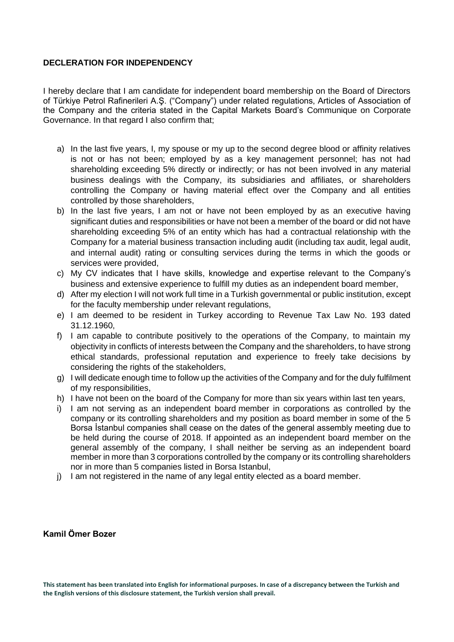## **DECLERATION FOR INDEPENDENCY**

I hereby declare that I am candidate for independent board membership on the Board of Directors of Türkiye Petrol Rafinerileri A.Ş. ("Company") under related regulations, Articles of Association of the Company and the criteria stated in the Capital Markets Board's Communique on Corporate Governance. In that regard I also confirm that;

- a) In the last five years, I, my spouse or my up to the second degree blood or affinity relatives is not or has not been; employed by as a key management personnel; has not had shareholding exceeding 5% directly or indirectly; or has not been involved in any material business dealings with the Company, its subsidiaries and affiliates, or shareholders controlling the Company or having material effect over the Company and all entities controlled by those shareholders,
- b) In the last five years, I am not or have not been employed by as an executive having significant duties and responsibilities or have not been a member of the board or did not have shareholding exceeding 5% of an entity which has had a contractual relationship with the Company for a material business transaction including audit (including tax audit, legal audit, and internal audit) rating or consulting services during the terms in which the goods or services were provided,
- c) My CV indicates that I have skills, knowledge and expertise relevant to the Company's business and extensive experience to fulfill my duties as an independent board member,
- d) After my election I will not work full time in a Turkish governmental or public institution, except for the faculty membership under relevant regulations,
- e) I am deemed to be resident in Turkey according to Revenue Tax Law No. 193 dated 31.12.1960,
- f) I am capable to contribute positively to the operations of the Company, to maintain my objectivity in conflicts of interests between the Company and the shareholders, to have strong ethical standards, professional reputation and experience to freely take decisions by considering the rights of the stakeholders,
- g) I will dedicate enough time to follow up the activities of the Company and for the duly fulfilment of my responsibilities,
- h) I have not been on the board of the Company for more than six years within last ten years,
- i) I am not serving as an independent board member in corporations as controlled by the company or its controlling shareholders and my position as board member in some of the 5 Borsa İstanbul companies shall cease on the dates of the general assembly meeting due to be held during the course of 2018. If appointed as an independent board member on the general assembly of the company, I shall neither be serving as an independent board member in more than 3 corporations controlled by the company or its controlling shareholders nor in more than 5 companies listed in Borsa Istanbul,
- j) I am not registered in the name of any legal entity elected as a board member.

## **Kamil Ömer Bozer**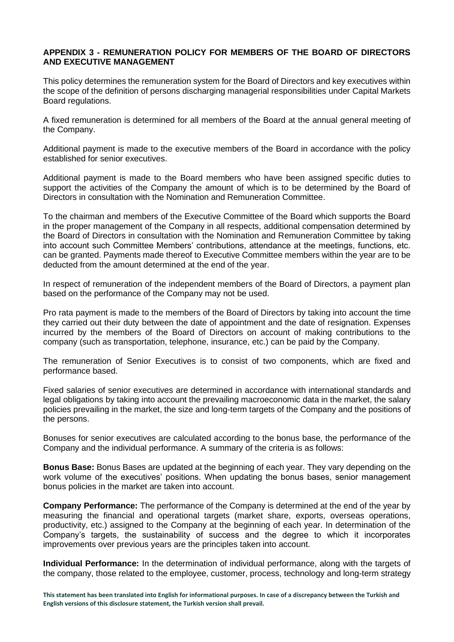## **APPENDIX 3 - REMUNERATION POLICY FOR MEMBERS OF THE BOARD OF DIRECTORS AND EXECUTIVE MANAGEMENT**

This policy determines the remuneration system for the Board of Directors and key executives within the scope of the definition of persons discharging managerial responsibilities under Capital Markets Board regulations.

A fixed remuneration is determined for all members of the Board at the annual general meeting of the Company.

Additional payment is made to the executive members of the Board in accordance with the policy established for senior executives.

Additional payment is made to the Board members who have been assigned specific duties to support the activities of the Company the amount of which is to be determined by the Board of Directors in consultation with the Nomination and Remuneration Committee.

To the chairman and members of the Executive Committee of the Board which supports the Board in the proper management of the Company in all respects, additional compensation determined by the Board of Directors in consultation with the Nomination and Remuneration Committee by taking into account such Committee Members' contributions, attendance at the meetings, functions, etc. can be granted. Payments made thereof to Executive Committee members within the year are to be deducted from the amount determined at the end of the year.

In respect of remuneration of the independent members of the Board of Directors, a payment plan based on the performance of the Company may not be used.

Pro rata payment is made to the members of the Board of Directors by taking into account the time they carried out their duty between the date of appointment and the date of resignation. Expenses incurred by the members of the Board of Directors on account of making contributions to the company (such as transportation, telephone, insurance, etc.) can be paid by the Company.

The remuneration of Senior Executives is to consist of two components, which are fixed and performance based.

Fixed salaries of senior executives are determined in accordance with international standards and legal obligations by taking into account the prevailing macroeconomic data in the market, the salary policies prevailing in the market, the size and long-term targets of the Company and the positions of the persons.

Bonuses for senior executives are calculated according to the bonus base, the performance of the Company and the individual performance. A summary of the criteria is as follows:

**Bonus Base:** Bonus Bases are updated at the beginning of each year. They vary depending on the work volume of the executives' positions. When updating the bonus bases, senior management bonus policies in the market are taken into account.

**Company Performance:** The performance of the Company is determined at the end of the year by measuring the financial and operational targets (market share, exports, overseas operations, productivity, etc.) assigned to the Company at the beginning of each year. In determination of the Company's targets, the sustainability of success and the degree to which it incorporates improvements over previous years are the principles taken into account.

**Individual Performance:** In the determination of individual performance, along with the targets of the company, those related to the employee, customer, process, technology and long-term strategy